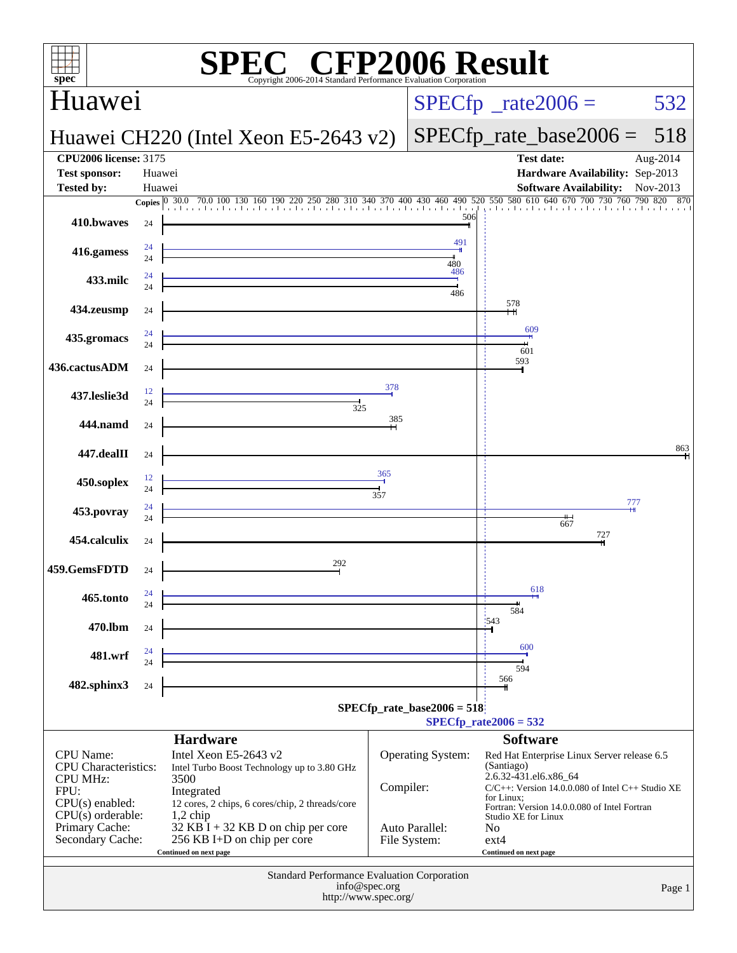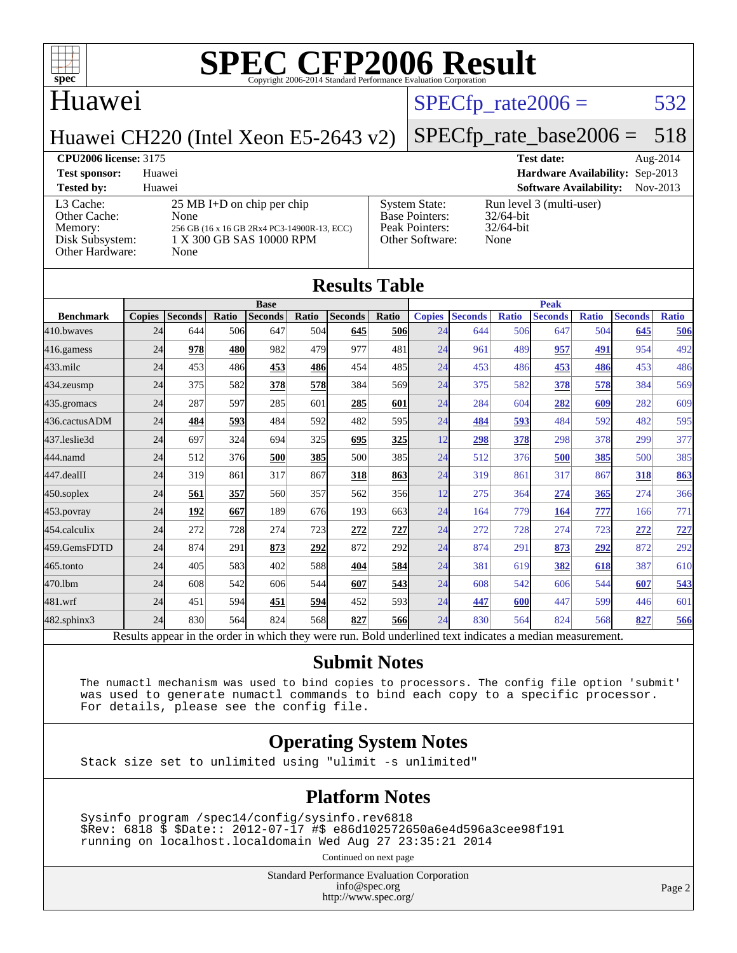

## Huawei

#### $SPECTp_rate2006 = 532$

Huawei CH220 (Intel Xeon E5-2643 v2)

### [SPECfp\\_rate\\_base2006 =](http://www.spec.org/auto/cpu2006/Docs/result-fields.html#SPECfpratebase2006) 518

**[CPU2006 license:](http://www.spec.org/auto/cpu2006/Docs/result-fields.html#CPU2006license)** 3175 **[Test date:](http://www.spec.org/auto/cpu2006/Docs/result-fields.html#Testdate)** Aug-2014 **[Test sponsor:](http://www.spec.org/auto/cpu2006/Docs/result-fields.html#Testsponsor)** Huawei **[Hardware Availability:](http://www.spec.org/auto/cpu2006/Docs/result-fields.html#HardwareAvailability)** Sep-2013 **[Tested by:](http://www.spec.org/auto/cpu2006/Docs/result-fields.html#Testedby)** Huawei **[Software Availability:](http://www.spec.org/auto/cpu2006/Docs/result-fields.html#SoftwareAvailability)** Nov-2013 [L3 Cache:](http://www.spec.org/auto/cpu2006/Docs/result-fields.html#L3Cache) 25 MB I+D on chip per chip<br>Other Cache: None [Other Cache:](http://www.spec.org/auto/cpu2006/Docs/result-fields.html#OtherCache) [Memory:](http://www.spec.org/auto/cpu2006/Docs/result-fields.html#Memory) 256 GB (16 x 16 GB 2Rx4 PC3-14900R-13, ECC) [Disk Subsystem:](http://www.spec.org/auto/cpu2006/Docs/result-fields.html#DiskSubsystem) 1 X 300 GB SAS 10000 RPM [Other Hardware:](http://www.spec.org/auto/cpu2006/Docs/result-fields.html#OtherHardware) None [System State:](http://www.spec.org/auto/cpu2006/Docs/result-fields.html#SystemState) Run level 3 (multi-user)<br>Base Pointers: 32/64-bit [Base Pointers:](http://www.spec.org/auto/cpu2006/Docs/result-fields.html#BasePointers) [Peak Pointers:](http://www.spec.org/auto/cpu2006/Docs/result-fields.html#PeakPointers) 32/64-bit [Other Software:](http://www.spec.org/auto/cpu2006/Docs/result-fields.html#OtherSoftware) None

| <b>Results Table</b> |               |                |       |                                                                                                          |       |                |            |               |                |              |                |              |                |              |
|----------------------|---------------|----------------|-------|----------------------------------------------------------------------------------------------------------|-------|----------------|------------|---------------|----------------|--------------|----------------|--------------|----------------|--------------|
|                      | <b>Base</b>   |                |       |                                                                                                          |       | <b>Peak</b>    |            |               |                |              |                |              |                |              |
| <b>Benchmark</b>     | <b>Copies</b> | <b>Seconds</b> | Ratio | <b>Seconds</b>                                                                                           | Ratio | <b>Seconds</b> | Ratio      | <b>Copies</b> | <b>Seconds</b> | <b>Ratio</b> | <b>Seconds</b> | <b>Ratio</b> | <b>Seconds</b> | <b>Ratio</b> |
| 410.bwayes           | 24            | 644            | 506   | 647                                                                                                      | 504   | 645            | <b>506</b> | 24            | 644            | 506          | 647            | 504          | 645            | 506          |
| 416.gamess           | 24            | 978            | 480   | 982                                                                                                      | 479   | 977            | 481        | 24            | 961            | 489          | 957            | 491          | 954            | 492          |
| $433$ .milc          | 24            | 453            | 486   | 453                                                                                                      | 486   | 454            | 485        | 24            | 453            | 486          | 453            | 486          | 453            | 486          |
| 434.zeusmp           | 24            | 375            | 582   | 378                                                                                                      | 578   | 384            | 569        | 24            | 375            | 582          | 378            | 578          | 384            | 569          |
| 435.gromacs          | 24            | 287            | 597   | 285                                                                                                      | 601   | 285            | 601        | 24            | 284            | 604          | 282            | 609          | 282            | 609          |
| 436.cactusADM        | 24            | 484            | 593   | 484                                                                                                      | 592   | 482            | 595        | 24            | 484            | 593          | 484            | 592          | 482            | 595          |
| 437.leslie3d         | 24            | 697            | 324   | 694                                                                                                      | 325   | 695            | <u>325</u> | 12            | 298            | 378          | 298            | 378          | 299            | 377          |
| 444.namd             | 24            | 512            | 376   | 500                                                                                                      | 385   | 500            | 385        | 24            | 512            | 376          | 500            | 385          | 500            | 385          |
| 447.dealII           | 24            | 319            | 861   | 317                                                                                                      | 867   | 318            | 863        | 24            | 319            | 861          | 317            | 867          | 318            | 863          |
| $450$ .soplex        | 24            | 561            | 357   | 560                                                                                                      | 357   | 562            | 356        | 12            | 275            | 364          | 274            | 365          | 274            | 366          |
| $453$ .povray        | 24            | 192            | 667   | 189                                                                                                      | 676   | 193            | 663        | 24            | 164            | 779          | 164            | 777          | 166            | 771          |
| 454.calculix         | 24            | 272            | 728   | 274                                                                                                      | 723   | 272            | <u>727</u> | 24            | 272            | 728          | 274            | 723          | 272            | $727$        |
| 459.GemsFDTD         | 24            | 874            | 291   | 873                                                                                                      | 292   | 872            | <b>292</b> | 24            | 874            | 291          | 873            | 292          | 872            | 292          |
| $465$ .tonto         | 24            | 405            | 583   | 402                                                                                                      | 588   | 404            | <u>584</u> | 24            | 381            | 619          | 382            | 618          | 387            | 610          |
| 470.1bm              | 24            | 608            | 542   | 606                                                                                                      | 544   | 607            | <u>543</u> | 24            | 608            | 542          | 606            | 544          | 607            | 543          |
| 481.wrf              | 24            | 451            | 594   | 451                                                                                                      | 594   | 452            | 593        | 24            | 447            | 600          | 447            | 599          | 446            | 601          |
| 482.sphinx3          | 24            | 830            | 564   | 824                                                                                                      | 568   | 827            | <b>566</b> | 24            | 830            | 564          | 824            | 568          | 827            | 566          |
|                      |               |                |       | Results appear in the order in which they were run. Bold underlined text indicates a median measurement. |       |                |            |               |                |              |                |              |                |              |

#### **[Submit Notes](http://www.spec.org/auto/cpu2006/Docs/result-fields.html#SubmitNotes)**

 The numactl mechanism was used to bind copies to processors. The config file option 'submit' was used to generate numactl commands to bind each copy to a specific processor. For details, please see the config file.

#### **[Operating System Notes](http://www.spec.org/auto/cpu2006/Docs/result-fields.html#OperatingSystemNotes)**

Stack size set to unlimited using "ulimit -s unlimited"

#### **[Platform Notes](http://www.spec.org/auto/cpu2006/Docs/result-fields.html#PlatformNotes)**

 Sysinfo program /spec14/config/sysinfo.rev6818 \$Rev: 6818 \$ \$Date:: 2012-07-17 #\$ e86d102572650a6e4d596a3cee98f191 running on localhost.localdomain Wed Aug 27 23:35:21 2014

Continued on next page

Standard Performance Evaluation Corporation [info@spec.org](mailto:info@spec.org) <http://www.spec.org/>

Page 2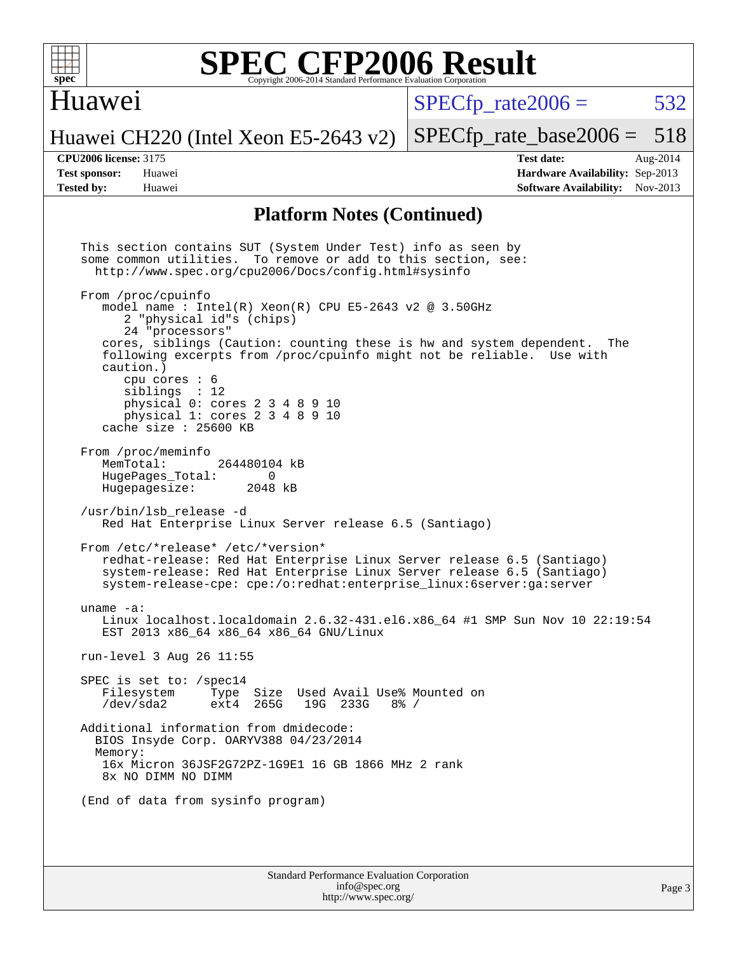

#### Huawei

 $SPECTp\_rate2006 = 532$ 

[SPECfp\\_rate\\_base2006 =](http://www.spec.org/auto/cpu2006/Docs/result-fields.html#SPECfpratebase2006) 518

#### Huawei CH220 (Intel Xeon E5-2643 v2)

**[CPU2006 license:](http://www.spec.org/auto/cpu2006/Docs/result-fields.html#CPU2006license)** 3175 **[Test date:](http://www.spec.org/auto/cpu2006/Docs/result-fields.html#Testdate)** Aug-2014 **[Test sponsor:](http://www.spec.org/auto/cpu2006/Docs/result-fields.html#Testsponsor)** Huawei **[Hardware Availability:](http://www.spec.org/auto/cpu2006/Docs/result-fields.html#HardwareAvailability)** Sep-2013 **[Tested by:](http://www.spec.org/auto/cpu2006/Docs/result-fields.html#Testedby)** Huawei **[Software Availability:](http://www.spec.org/auto/cpu2006/Docs/result-fields.html#SoftwareAvailability)** Nov-2013

#### **[Platform Notes \(Continued\)](http://www.spec.org/auto/cpu2006/Docs/result-fields.html#PlatformNotes)**

Standard Performance Evaluation Corporation This section contains SUT (System Under Test) info as seen by some common utilities. To remove or add to this section, see: <http://www.spec.org/cpu2006/Docs/config.html#sysinfo> From /proc/cpuinfo model name : Intel $(R)$  Xeon $(R)$  CPU E5-2643 v2 @ 3.50GHz 2 "physical id"s (chips) 24 "processors" cores, siblings (Caution: counting these is hw and system dependent. The following excerpts from /proc/cpuinfo might not be reliable. Use with caution.) cpu cores : 6 siblings : 12 physical 0: cores 2 3 4 8 9 10 physical 1: cores 2 3 4 8 9 10 cache size : 25600 KB From /proc/meminfo<br>MemTotal: 264480104 kB HugePages\_Total: 0<br>Hugepagesize: 2048 kB Hugepagesize: /usr/bin/lsb\_release -d Red Hat Enterprise Linux Server release 6.5 (Santiago) From /etc/\*release\* /etc/\*version\* redhat-release: Red Hat Enterprise Linux Server release 6.5 (Santiago) system-release: Red Hat Enterprise Linux Server release 6.5 (Santiago) system-release-cpe: cpe:/o:redhat:enterprise\_linux:6server:ga:server uname -a: Linux localhost.localdomain 2.6.32-431.el6.x86\_64 #1 SMP Sun Nov 10 22:19:54 EST 2013 x86\_64 x86\_64 x86\_64 GNU/Linux run-level 3 Aug 26 11:55 SPEC is set to: /spec14<br>Filesystem Type Type Size Used Avail Use% Mounted on /dev/sda2 ext4 265G 19G 233G 8% / Additional information from dmidecode: BIOS Insyde Corp. OARYV388 04/23/2014 Memory: 16x Micron 36JSF2G72PZ-1G9E1 16 GB 1866 MHz 2 rank 8x NO DIMM NO DIMM (End of data from sysinfo program)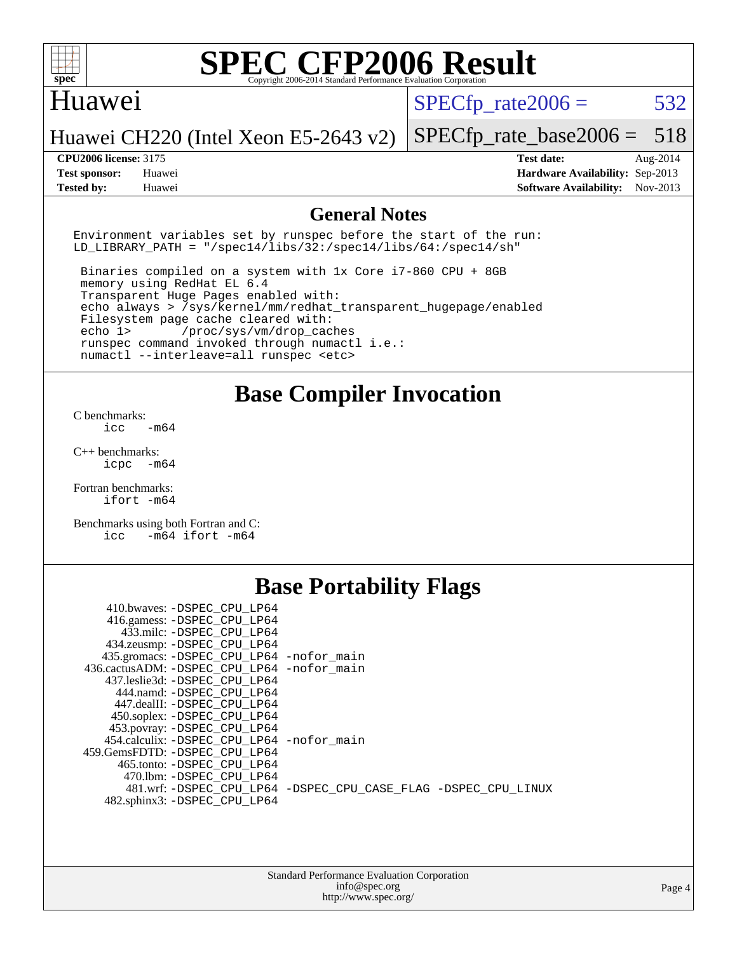

#### Huawei

 $SPECTp\_rate2006 = 532$ 

Huawei CH220 (Intel Xeon E5-2643 v2)

**[Tested by:](http://www.spec.org/auto/cpu2006/Docs/result-fields.html#Testedby)** Huawei **[Software Availability:](http://www.spec.org/auto/cpu2006/Docs/result-fields.html#SoftwareAvailability)** Nov-2013

[SPECfp\\_rate\\_base2006 =](http://www.spec.org/auto/cpu2006/Docs/result-fields.html#SPECfpratebase2006) 518 **[CPU2006 license:](http://www.spec.org/auto/cpu2006/Docs/result-fields.html#CPU2006license)** 3175 **[Test date:](http://www.spec.org/auto/cpu2006/Docs/result-fields.html#Testdate)** Aug-2014 **[Test sponsor:](http://www.spec.org/auto/cpu2006/Docs/result-fields.html#Testsponsor)** Huawei **[Hardware Availability:](http://www.spec.org/auto/cpu2006/Docs/result-fields.html#HardwareAvailability)** Sep-2013

#### **[General Notes](http://www.spec.org/auto/cpu2006/Docs/result-fields.html#GeneralNotes)**

Environment variables set by runspec before the start of the run: LD LIBRARY PATH = "/spec14/libs/32:/spec14/libs/64:/spec14/sh"

 Binaries compiled on a system with 1x Core i7-860 CPU + 8GB memory using RedHat EL 6.4 Transparent Huge Pages enabled with: echo always > /sys/kernel/mm/redhat\_transparent\_hugepage/enabled Filesystem page cache cleared with: echo 1> /proc/sys/vm/drop\_caches runspec command invoked through numactl i.e.: numactl --interleave=all runspec <etc>

**[Base Compiler Invocation](http://www.spec.org/auto/cpu2006/Docs/result-fields.html#BaseCompilerInvocation)**

[C benchmarks](http://www.spec.org/auto/cpu2006/Docs/result-fields.html#Cbenchmarks):  $\text{icc}$   $-\text{m64}$ 

[C++ benchmarks:](http://www.spec.org/auto/cpu2006/Docs/result-fields.html#CXXbenchmarks) [icpc -m64](http://www.spec.org/cpu2006/results/res2014q3/cpu2006-20140902-31144.flags.html#user_CXXbase_intel_icpc_64bit_bedb90c1146cab66620883ef4f41a67e)

[Fortran benchmarks](http://www.spec.org/auto/cpu2006/Docs/result-fields.html#Fortranbenchmarks): [ifort -m64](http://www.spec.org/cpu2006/results/res2014q3/cpu2006-20140902-31144.flags.html#user_FCbase_intel_ifort_64bit_ee9d0fb25645d0210d97eb0527dcc06e)

[Benchmarks using both Fortran and C](http://www.spec.org/auto/cpu2006/Docs/result-fields.html#BenchmarksusingbothFortranandC): [icc -m64](http://www.spec.org/cpu2006/results/res2014q3/cpu2006-20140902-31144.flags.html#user_CC_FCbase_intel_icc_64bit_0b7121f5ab7cfabee23d88897260401c) [ifort -m64](http://www.spec.org/cpu2006/results/res2014q3/cpu2006-20140902-31144.flags.html#user_CC_FCbase_intel_ifort_64bit_ee9d0fb25645d0210d97eb0527dcc06e)

### **[Base Portability Flags](http://www.spec.org/auto/cpu2006/Docs/result-fields.html#BasePortabilityFlags)**

| 410.bwaves: -DSPEC CPU LP64                 |                                                                |
|---------------------------------------------|----------------------------------------------------------------|
| 416.gamess: -DSPEC_CPU_LP64                 |                                                                |
| 433.milc: -DSPEC CPU LP64                   |                                                                |
| 434.zeusmp: - DSPEC_CPU_LP64                |                                                                |
| 435.gromacs: -DSPEC_CPU_LP64 -nofor_main    |                                                                |
| 436.cactusADM: -DSPEC CPU LP64 -nofor main  |                                                                |
| 437.leslie3d: -DSPEC CPU LP64               |                                                                |
| 444.namd: -DSPEC CPU LP64                   |                                                                |
| 447.dealII: -DSPEC_CPU LP64                 |                                                                |
| 450.soplex: -DSPEC_CPU_LP64                 |                                                                |
| 453.povray: -DSPEC CPU LP64                 |                                                                |
| 454.calculix: - DSPEC CPU LP64 - nofor main |                                                                |
| 459. GemsFDTD: - DSPEC CPU LP64             |                                                                |
| 465.tonto: - DSPEC CPU LP64                 |                                                                |
| 470.1bm: - DSPEC CPU LP64                   |                                                                |
|                                             | 481.wrf: -DSPEC CPU_LP64 -DSPEC_CPU_CASE_FLAG -DSPEC_CPU_LINUX |
| 482.sphinx3: -DSPEC CPU LP64                |                                                                |
|                                             |                                                                |

| <b>Standard Performance Evaluation Corporation</b> |
|----------------------------------------------------|
| info@spec.org                                      |
| http://www.spec.org/                               |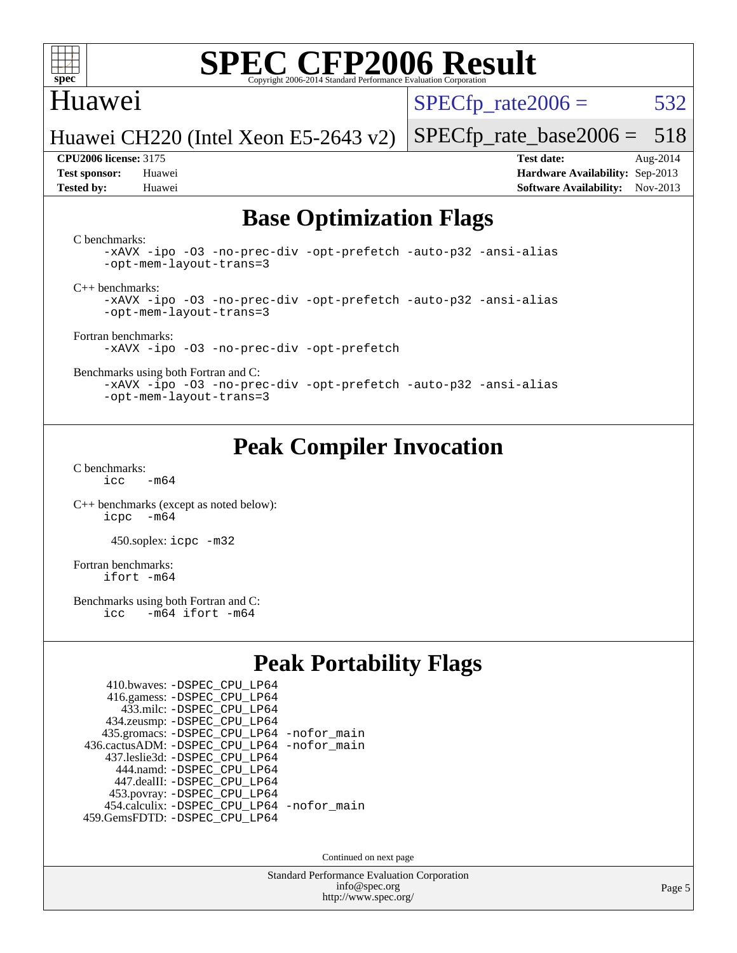

### Huawei

 $SPECTp\_rate2006 = 532$ 

[SPECfp\\_rate\\_base2006 =](http://www.spec.org/auto/cpu2006/Docs/result-fields.html#SPECfpratebase2006) 518

Huawei CH220 (Intel Xeon E5-2643 v2)

**[Tested by:](http://www.spec.org/auto/cpu2006/Docs/result-fields.html#Testedby)** Huawei **[Software Availability:](http://www.spec.org/auto/cpu2006/Docs/result-fields.html#SoftwareAvailability)** Nov-2013

**[CPU2006 license:](http://www.spec.org/auto/cpu2006/Docs/result-fields.html#CPU2006license)** 3175 **[Test date:](http://www.spec.org/auto/cpu2006/Docs/result-fields.html#Testdate)** Aug-2014 **[Test sponsor:](http://www.spec.org/auto/cpu2006/Docs/result-fields.html#Testsponsor)** Huawei **[Hardware Availability:](http://www.spec.org/auto/cpu2006/Docs/result-fields.html#HardwareAvailability)** Sep-2013

## **[Base Optimization Flags](http://www.spec.org/auto/cpu2006/Docs/result-fields.html#BaseOptimizationFlags)**

[C benchmarks](http://www.spec.org/auto/cpu2006/Docs/result-fields.html#Cbenchmarks):

[-xAVX](http://www.spec.org/cpu2006/results/res2014q3/cpu2006-20140902-31144.flags.html#user_CCbase_f-xAVX) [-ipo](http://www.spec.org/cpu2006/results/res2014q3/cpu2006-20140902-31144.flags.html#user_CCbase_f-ipo) [-O3](http://www.spec.org/cpu2006/results/res2014q3/cpu2006-20140902-31144.flags.html#user_CCbase_f-O3) [-no-prec-div](http://www.spec.org/cpu2006/results/res2014q3/cpu2006-20140902-31144.flags.html#user_CCbase_f-no-prec-div) [-opt-prefetch](http://www.spec.org/cpu2006/results/res2014q3/cpu2006-20140902-31144.flags.html#user_CCbase_f-opt-prefetch) [-auto-p32](http://www.spec.org/cpu2006/results/res2014q3/cpu2006-20140902-31144.flags.html#user_CCbase_f-auto-p32) [-ansi-alias](http://www.spec.org/cpu2006/results/res2014q3/cpu2006-20140902-31144.flags.html#user_CCbase_f-ansi-alias) [-opt-mem-layout-trans=3](http://www.spec.org/cpu2006/results/res2014q3/cpu2006-20140902-31144.flags.html#user_CCbase_f-opt-mem-layout-trans_a7b82ad4bd7abf52556d4961a2ae94d5)

[C++ benchmarks:](http://www.spec.org/auto/cpu2006/Docs/result-fields.html#CXXbenchmarks)

[-xAVX](http://www.spec.org/cpu2006/results/res2014q3/cpu2006-20140902-31144.flags.html#user_CXXbase_f-xAVX) [-ipo](http://www.spec.org/cpu2006/results/res2014q3/cpu2006-20140902-31144.flags.html#user_CXXbase_f-ipo) [-O3](http://www.spec.org/cpu2006/results/res2014q3/cpu2006-20140902-31144.flags.html#user_CXXbase_f-O3) [-no-prec-div](http://www.spec.org/cpu2006/results/res2014q3/cpu2006-20140902-31144.flags.html#user_CXXbase_f-no-prec-div) [-opt-prefetch](http://www.spec.org/cpu2006/results/res2014q3/cpu2006-20140902-31144.flags.html#user_CXXbase_f-opt-prefetch) [-auto-p32](http://www.spec.org/cpu2006/results/res2014q3/cpu2006-20140902-31144.flags.html#user_CXXbase_f-auto-p32) [-ansi-alias](http://www.spec.org/cpu2006/results/res2014q3/cpu2006-20140902-31144.flags.html#user_CXXbase_f-ansi-alias) [-opt-mem-layout-trans=3](http://www.spec.org/cpu2006/results/res2014q3/cpu2006-20140902-31144.flags.html#user_CXXbase_f-opt-mem-layout-trans_a7b82ad4bd7abf52556d4961a2ae94d5)

[Fortran benchmarks](http://www.spec.org/auto/cpu2006/Docs/result-fields.html#Fortranbenchmarks): [-xAVX](http://www.spec.org/cpu2006/results/res2014q3/cpu2006-20140902-31144.flags.html#user_FCbase_f-xAVX) [-ipo](http://www.spec.org/cpu2006/results/res2014q3/cpu2006-20140902-31144.flags.html#user_FCbase_f-ipo) [-O3](http://www.spec.org/cpu2006/results/res2014q3/cpu2006-20140902-31144.flags.html#user_FCbase_f-O3) [-no-prec-div](http://www.spec.org/cpu2006/results/res2014q3/cpu2006-20140902-31144.flags.html#user_FCbase_f-no-prec-div) [-opt-prefetch](http://www.spec.org/cpu2006/results/res2014q3/cpu2006-20140902-31144.flags.html#user_FCbase_f-opt-prefetch)

[Benchmarks using both Fortran and C](http://www.spec.org/auto/cpu2006/Docs/result-fields.html#BenchmarksusingbothFortranandC):

[-xAVX](http://www.spec.org/cpu2006/results/res2014q3/cpu2006-20140902-31144.flags.html#user_CC_FCbase_f-xAVX) [-ipo](http://www.spec.org/cpu2006/results/res2014q3/cpu2006-20140902-31144.flags.html#user_CC_FCbase_f-ipo) [-O3](http://www.spec.org/cpu2006/results/res2014q3/cpu2006-20140902-31144.flags.html#user_CC_FCbase_f-O3) [-no-prec-div](http://www.spec.org/cpu2006/results/res2014q3/cpu2006-20140902-31144.flags.html#user_CC_FCbase_f-no-prec-div) [-opt-prefetch](http://www.spec.org/cpu2006/results/res2014q3/cpu2006-20140902-31144.flags.html#user_CC_FCbase_f-opt-prefetch) [-auto-p32](http://www.spec.org/cpu2006/results/res2014q3/cpu2006-20140902-31144.flags.html#user_CC_FCbase_f-auto-p32) [-ansi-alias](http://www.spec.org/cpu2006/results/res2014q3/cpu2006-20140902-31144.flags.html#user_CC_FCbase_f-ansi-alias) [-opt-mem-layout-trans=3](http://www.spec.org/cpu2006/results/res2014q3/cpu2006-20140902-31144.flags.html#user_CC_FCbase_f-opt-mem-layout-trans_a7b82ad4bd7abf52556d4961a2ae94d5)

## **[Peak Compiler Invocation](http://www.spec.org/auto/cpu2006/Docs/result-fields.html#PeakCompilerInvocation)**

[C benchmarks](http://www.spec.org/auto/cpu2006/Docs/result-fields.html#Cbenchmarks):  $icc$   $-m64$ 

[C++ benchmarks \(except as noted below\):](http://www.spec.org/auto/cpu2006/Docs/result-fields.html#CXXbenchmarksexceptasnotedbelow) [icpc -m64](http://www.spec.org/cpu2006/results/res2014q3/cpu2006-20140902-31144.flags.html#user_CXXpeak_intel_icpc_64bit_bedb90c1146cab66620883ef4f41a67e)

450.soplex: [icpc -m32](http://www.spec.org/cpu2006/results/res2014q3/cpu2006-20140902-31144.flags.html#user_peakCXXLD450_soplex_intel_icpc_4e5a5ef1a53fd332b3c49e69c3330699)

[Fortran benchmarks](http://www.spec.org/auto/cpu2006/Docs/result-fields.html#Fortranbenchmarks): [ifort -m64](http://www.spec.org/cpu2006/results/res2014q3/cpu2006-20140902-31144.flags.html#user_FCpeak_intel_ifort_64bit_ee9d0fb25645d0210d97eb0527dcc06e)

[Benchmarks using both Fortran and C](http://www.spec.org/auto/cpu2006/Docs/result-fields.html#BenchmarksusingbothFortranandC):<br>icc -m64 ifort -m64  $-m64$  ifort  $-m64$ 

## **[Peak Portability Flags](http://www.spec.org/auto/cpu2006/Docs/result-fields.html#PeakPortabilityFlags)**

| 410.bwaves: - DSPEC CPU LP64                |  |
|---------------------------------------------|--|
| 416.gamess: -DSPEC_CPU_LP64                 |  |
| 433.milc: - DSPEC_CPU LP64                  |  |
| 434.zeusmp: -DSPEC_CPU_LP64                 |  |
| 435.gromacs: -DSPEC_CPU_LP64 -nofor_main    |  |
| 436.cactusADM: -DSPEC CPU LP64 -nofor main  |  |
| 437.leslie3d: -DSPEC CPU LP64               |  |
| 444.namd: - DSPEC CPU LP64                  |  |
| 447.dealII: -DSPEC CPU LP64                 |  |
| 453.povray: -DSPEC_CPU_LP64                 |  |
| 454.calculix: - DSPEC CPU LP64 - nofor main |  |
| 459.GemsFDTD: - DSPEC_CPU_LP64              |  |

Continued on next page

Standard Performance Evaluation Corporation [info@spec.org](mailto:info@spec.org) <http://www.spec.org/>

Page 5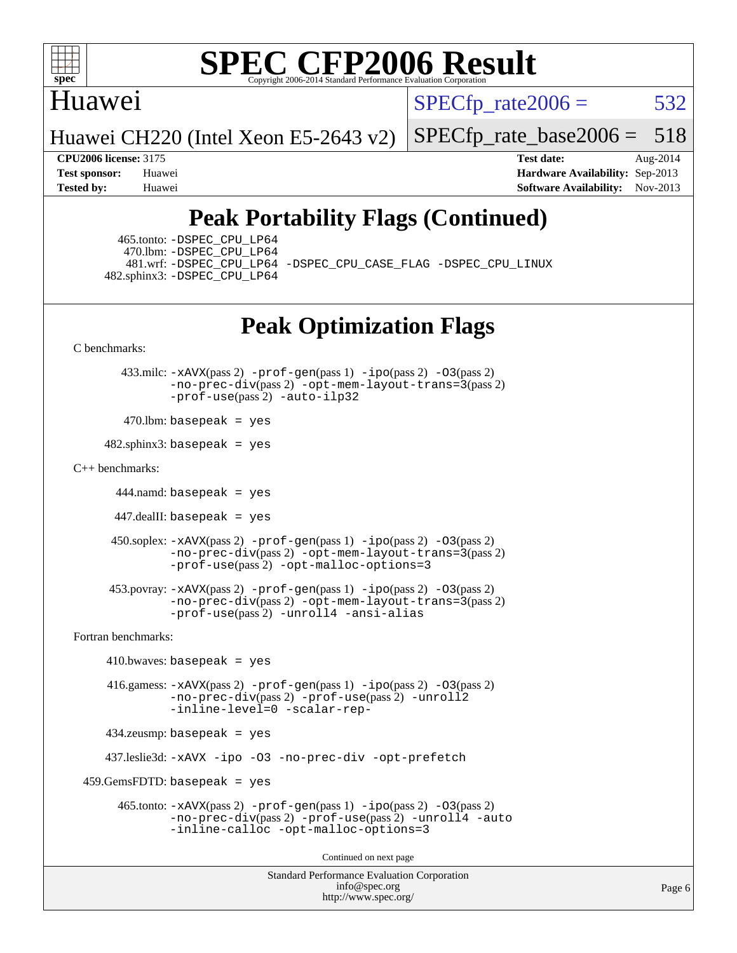

### Huawei

 $SPECTp\_rate2006 = 532$ 

Huawei CH220 (Intel Xeon E5-2643 v2)

[SPECfp\\_rate\\_base2006 =](http://www.spec.org/auto/cpu2006/Docs/result-fields.html#SPECfpratebase2006) 518

**[CPU2006 license:](http://www.spec.org/auto/cpu2006/Docs/result-fields.html#CPU2006license)** 3175 **[Test date:](http://www.spec.org/auto/cpu2006/Docs/result-fields.html#Testdate)** Aug-2014 **[Test sponsor:](http://www.spec.org/auto/cpu2006/Docs/result-fields.html#Testsponsor)** Huawei **[Hardware Availability:](http://www.spec.org/auto/cpu2006/Docs/result-fields.html#HardwareAvailability)** Sep-2013 **[Tested by:](http://www.spec.org/auto/cpu2006/Docs/result-fields.html#Testedby)** Huawei **[Software Availability:](http://www.spec.org/auto/cpu2006/Docs/result-fields.html#SoftwareAvailability)** Nov-2013

## **[Peak Portability Flags \(Continued\)](http://www.spec.org/auto/cpu2006/Docs/result-fields.html#PeakPortabilityFlags)**

 465.tonto: [-DSPEC\\_CPU\\_LP64](http://www.spec.org/cpu2006/results/res2014q3/cpu2006-20140902-31144.flags.html#suite_peakPORTABILITY465_tonto_DSPEC_CPU_LP64) 470.lbm: [-DSPEC\\_CPU\\_LP64](http://www.spec.org/cpu2006/results/res2014q3/cpu2006-20140902-31144.flags.html#suite_peakPORTABILITY470_lbm_DSPEC_CPU_LP64) 482.sphinx3: [-DSPEC\\_CPU\\_LP64](http://www.spec.org/cpu2006/results/res2014q3/cpu2006-20140902-31144.flags.html#suite_peakPORTABILITY482_sphinx3_DSPEC_CPU_LP64)

481.wrf: [-DSPEC\\_CPU\\_LP64](http://www.spec.org/cpu2006/results/res2014q3/cpu2006-20140902-31144.flags.html#suite_peakPORTABILITY481_wrf_DSPEC_CPU_LP64) [-DSPEC\\_CPU\\_CASE\\_FLAG](http://www.spec.org/cpu2006/results/res2014q3/cpu2006-20140902-31144.flags.html#b481.wrf_peakCPORTABILITY_DSPEC_CPU_CASE_FLAG) [-DSPEC\\_CPU\\_LINUX](http://www.spec.org/cpu2006/results/res2014q3/cpu2006-20140902-31144.flags.html#b481.wrf_peakCPORTABILITY_DSPEC_CPU_LINUX)

## **[Peak Optimization Flags](http://www.spec.org/auto/cpu2006/Docs/result-fields.html#PeakOptimizationFlags)**

[C benchmarks](http://www.spec.org/auto/cpu2006/Docs/result-fields.html#Cbenchmarks):

 433.milc: [-xAVX](http://www.spec.org/cpu2006/results/res2014q3/cpu2006-20140902-31144.flags.html#user_peakPASS2_CFLAGSPASS2_LDFLAGS433_milc_f-xAVX)(pass 2) [-prof-gen](http://www.spec.org/cpu2006/results/res2014q3/cpu2006-20140902-31144.flags.html#user_peakPASS1_CFLAGSPASS1_LDFLAGS433_milc_prof_gen_e43856698f6ca7b7e442dfd80e94a8fc)(pass 1) [-ipo](http://www.spec.org/cpu2006/results/res2014q3/cpu2006-20140902-31144.flags.html#user_peakPASS2_CFLAGSPASS2_LDFLAGS433_milc_f-ipo)(pass 2) [-O3](http://www.spec.org/cpu2006/results/res2014q3/cpu2006-20140902-31144.flags.html#user_peakPASS2_CFLAGSPASS2_LDFLAGS433_milc_f-O3)(pass 2) [-no-prec-div](http://www.spec.org/cpu2006/results/res2014q3/cpu2006-20140902-31144.flags.html#user_peakPASS2_CFLAGSPASS2_LDFLAGS433_milc_f-no-prec-div)(pass 2) [-opt-mem-layout-trans=3](http://www.spec.org/cpu2006/results/res2014q3/cpu2006-20140902-31144.flags.html#user_peakPASS2_CFLAGS433_milc_f-opt-mem-layout-trans_a7b82ad4bd7abf52556d4961a2ae94d5)(pass 2) [-prof-use](http://www.spec.org/cpu2006/results/res2014q3/cpu2006-20140902-31144.flags.html#user_peakPASS2_CFLAGSPASS2_LDFLAGS433_milc_prof_use_bccf7792157ff70d64e32fe3e1250b55)(pass 2) [-auto-ilp32](http://www.spec.org/cpu2006/results/res2014q3/cpu2006-20140902-31144.flags.html#user_peakCOPTIMIZE433_milc_f-auto-ilp32)

 $470$ .lbm: basepeak = yes

 $482$ .sphinx3: basepeak = yes

#### [C++ benchmarks:](http://www.spec.org/auto/cpu2006/Docs/result-fields.html#CXXbenchmarks)

444.namd: basepeak = yes

447.dealII: basepeak = yes

```
 450.soplex: -xAVX(pass 2) -prof-gen(pass 1) -ipo(pass 2) -O3(pass 2)
         -no-prec-div(pass 2) -opt-mem-layout-trans=3(pass 2)
         -prof-use(pass 2) -opt-malloc-options=3
```

```
 453.povray: -xAVX(pass 2) -prof-gen(pass 1) -ipo(pass 2) -O3(pass 2)
          -no-prec-div(pass 2) -opt-mem-layout-trans=3(pass 2)
          -prof-use(pass 2) -unroll4 -ansi-alias
```
[Fortran benchmarks](http://www.spec.org/auto/cpu2006/Docs/result-fields.html#Fortranbenchmarks):

```
410.bwaves: basepeak = yes 416.gamess: -xAVX(pass 2) -prof-gen(pass 1) -ipo(pass 2) -O3(pass 2)
              -no-prec-div(pass 2) -prof-use(pass 2) -unroll2
              -inline-level=0 -scalar-rep-
    434.zeusmp: basepeak = yes
    437.leslie3d: -xAVX -ipo -O3 -no-prec-div -opt-prefetch
459.GemsFDTD: basepeak = yes 465.tonto: -xAVX(pass 2) -prof-gen(pass 1) -ipo(pass 2) -O3(pass 2)
              -no-prec-div(pass 2) -prof-use(pass 2) -unroll4 -auto
              -inline-calloc -opt-malloc-options=3
                                      Continued on next page
```
Standard Performance Evaluation Corporation [info@spec.org](mailto:info@spec.org) <http://www.spec.org/>